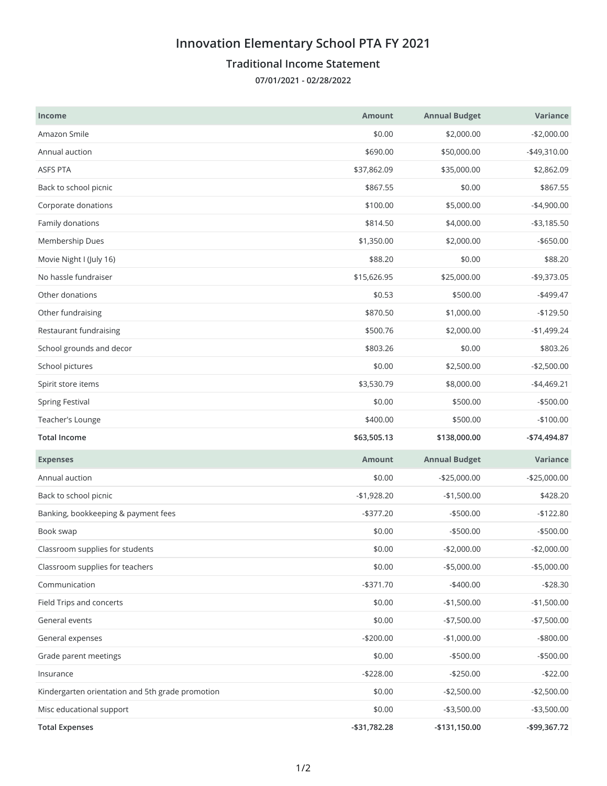## **Innovation Elementary School PTA FY 2021**

## **Traditional Income Statement**

**07/01/2021 - 02/28/2022**

| <b>Income</b>                                    | <b>Amount</b> | <b>Annual Budget</b> | Variance      |
|--------------------------------------------------|---------------|----------------------|---------------|
| Amazon Smile                                     | \$0.00        | \$2,000.00           | $-$2,000.00$  |
| Annual auction                                   | \$690.00      | \$50,000.00          | -\$49,310.00  |
| <b>ASFS PTA</b>                                  | \$37,862.09   | \$35,000.00          | \$2,862.09    |
| Back to school picnic                            | \$867.55      | \$0.00               | \$867.55      |
| Corporate donations                              | \$100.00      | \$5,000.00           | $-$4,900.00$  |
| Family donations                                 | \$814.50      | \$4,000.00           | $- $3,185.50$ |
| Membership Dues                                  | \$1,350.00    | \$2,000.00           | $-$ \$650.00  |
| Movie Night I (July 16)                          | \$88.20       | \$0.00               | \$88.20       |
| No hassle fundraiser                             | \$15,626.95   | \$25,000.00          | -\$9,373.05   |
| Other donations                                  | \$0.53        | \$500.00             | $-$499.47$    |
| Other fundraising                                | \$870.50      | \$1,000.00           | $-$129.50$    |
| Restaurant fundraising                           | \$500.76      | \$2,000.00           | $-$1,499.24$  |
| School grounds and decor                         | \$803.26      | \$0.00               | \$803.26      |
| School pictures                                  | \$0.00        | \$2,500.00           | $-$2,500.00$  |
| Spirit store items                               | \$3,530.79    | \$8,000.00           | $-$4,469.21$  |
| <b>Spring Festival</b>                           | \$0.00        | \$500.00             | $-$500.00$    |
| Teacher's Lounge                                 | \$400.00      | \$500.00             | $-$100.00$    |
|                                                  |               |                      |               |
| <b>Total Income</b>                              | \$63,505.13   | \$138,000.00         | -\$74,494.87  |
| <b>Expenses</b>                                  | <b>Amount</b> | <b>Annual Budget</b> | Variance      |
| Annual auction                                   | \$0.00        | $-$25,000.00$        | $-$25,000.00$ |
| Back to school picnic                            | $-$1,928.20$  | $-$1,500.00$         | \$428.20      |
| Banking, bookkeeping & payment fees              | $-$377.20$    | $-$500.00$           | $-$122.80$    |
| Book swap                                        | \$0.00        | $-$500.00$           | $-$500.00$    |
| Classroom supplies for students                  | \$0.00        | $-$2,000.00$         | $-$2,000.00$  |
| Classroom supplies for teachers                  | \$0.00        | $-$5,000.00$         | $-$5,000.00$  |
| Communication                                    | $- $371.70$   | $-$400.00$           | $-$28.30$     |
| Field Trips and concerts                         | \$0.00        | $-$1,500.00$         | $-$1,500.00$  |
| General events                                   | \$0.00        | $-$7,500.00$         | $-$7,500.00$  |
| General expenses                                 | $-$200.00$    | $-$1,000.00$         | -\$800.00     |
| Grade parent meetings                            | \$0.00        | $-$500.00$           | $- $500.00$   |
| Insurance                                        | $-$228.00$    | $-$250.00$           | $-$22.00$     |
| Kindergarten orientation and 5th grade promotion | \$0.00        | $-$2,500.00$         | $-$2,500.00$  |
| Misc educational support                         | \$0.00        | $- $3,500.00$        | $- $3,500.00$ |